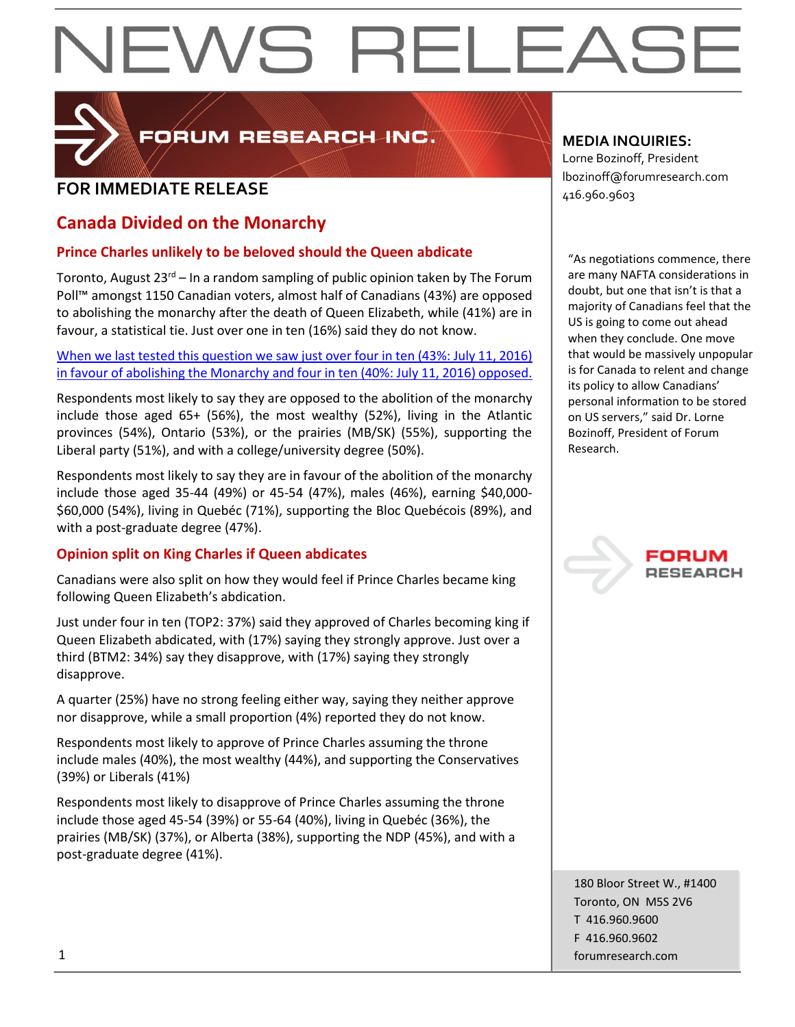

FORUM RESEARCH INC.

## **FOR IMMEDIATE RELEASE**  $\left| \begin{array}{c} 1.52 \ 416.960.9603 \end{array} \right|$

## **Canada Divided on the Monarchy**

## **Prince Charles unlikely to be beloved should the Queen abdicate**

Toronto, August  $23^{rd}$  – In a random sampling of public opinion taken by The Forum Poll™ amongst 1150 Canadian voters, almost half of Canadians (43%) are opposed to abolishing the monarchy after the death of Queen Elizabeth, while (41%) are in favour, a statistical tie. Just over one in ten (16%) said they do not know.

[When we last tested this question we saw just over four in ten \(43%: July 11, 2016\)](http://forumpoll.com/post/2548/more-favour-abolishing-the-monarchy-than-not/)  in favour of [abolishing the Monarchy and four in ten \(40%: July 11, 2016\) opposed.](http://forumpoll.com/post/2548/more-favour-abolishing-the-monarchy-than-not/)

Respondents most likely to say they are opposed to the abolition of the monarchy include those aged 65+ (56%), the most wealthy (52%), living in the Atlantic provinces (54%), Ontario (53%), or the prairies (MB/SK) (55%), supporting the Liberal party (51%), and with a college/university degree (50%).

Respondents most likely to say they are in favour of the abolition of the monarchy include those aged 35-44 (49%) or 45-54 (47%), males (46%), earning \$40,000- \$60,000 (54%), living in Quebéc (71%), supporting the Bloc Quebécois (89%), and with a post-graduate degree (47%).

## **Opinion split on King Charles if Queen abdicates**

Canadians were also split on how they would feel if Prince Charles became king following Queen Elizabeth's abdication.

Just under four in ten (TOP2: 37%) said they approved of Charles becoming king if Queen Elizabeth abdicated, with (17%) saying they strongly approve. Just over a third (BTM2: 34%) say they disapprove, with (17%) saying they strongly disapprove.

A quarter (25%) have no strong feeling either way, saying they neither approve nor disapprove, while a small proportion (4%) reported they do not know.

Respondents most likely to approve of Prince Charles assuming the throne include males (40%), the most wealthy (44%), and supporting the Conservatives (39%) or Liberals (41%)

Respondents most likely to disapprove of Prince Charles assuming the throne include those aged 45-54 (39%) or 55-64 (40%), living in Quebéc (36%), the prairies (MB/SK) (37%), or Alberta (38%), supporting the NDP (45%), and with a post-graduate degree (41%).

## **MEDIA INQUIRIES:**

Lorne Bozinoff, President lbozinoff@forumresearch.com

"As negotiations commence, there are many NAFTA considerations in doubt, but one that isn't is that a majority of Canadians feel that the US is going to come out ahead when they conclude. One move that would be massively unpopular is for Canada to relent and change its policy to allow Canadians' personal information to be stored on US servers," said Dr. Lorne Bozinoff, President of Forum Research.



180 Bloor Street W., #1400 Toronto, ON M5S 2V6 T 416.960.9600 F 416.960.9602 1 forumresearch.com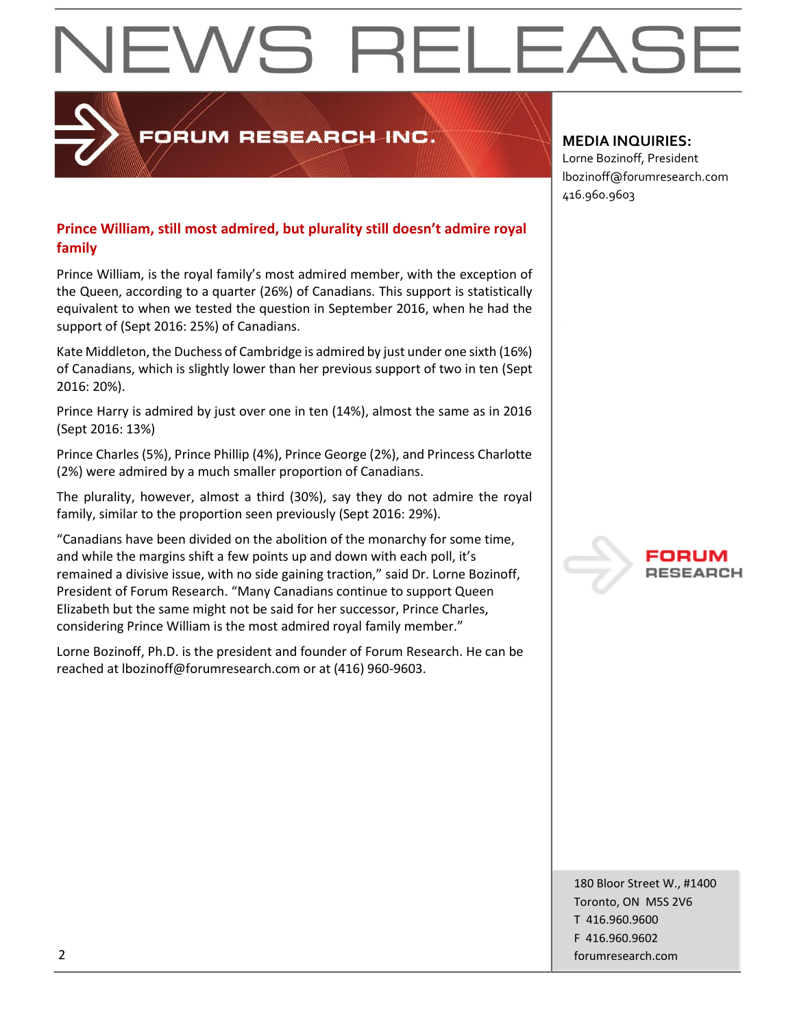## ORUM RESEARCH INC.

## **Prince William, still most admired, but plurality still doesn't admire royal family**

Prince William, is the royal family's most admired member, with the exception of the Queen, according to a quarter (26%) of Canadians. This support is statistically equivalent to when we tested the question in September 2016, when he had the support of (Sept 2016: 25%) of Canadians.

Kate Middleton, the Duchess of Cambridge is admired by just under one sixth (16%) of Canadians, which is slightly lower than her previous support of two in ten (Sept 2016: 20%).

Prince Harry is admired by just over one in ten (14%), almost the same as in 2016 (Sept 2016: 13%)

Prince Charles (5%), Prince Phillip (4%), Prince George (2%), and Princess Charlotte (2%) were admired by a much smaller proportion of Canadians.

The plurality, however, almost a third (30%), say they do not admire the royal family, similar to the proportion seen previously (Sept 2016: 29%).

"Canadians have been divided on the abolition of the monarchy for some time, and while the margins shift a few points up and down with each poll, it's remained a divisive issue, with no side gaining traction," said Dr. Lorne Bozinoff, President of Forum Research. "Many Canadians continue to support Queen Elizabeth but the same might not be said for her successor, Prince Charles, considering Prince William is the most admired royal family member."

Lorne Bozinoff, Ph.D. is the president and founder of Forum Research. He can be reached at lbozinoff@forumresearch.com or at (416) 960-9603.

## **MEDIA INQUIRIES:**

Lorne Bozinoff, President lbozinoff@forumresearch.com 416.960.9603



180 Bloor Street W., #1400 Toronto, ON M5S 2V6 T 416.960.9600 F 416.960.9602 2 forumresearch.com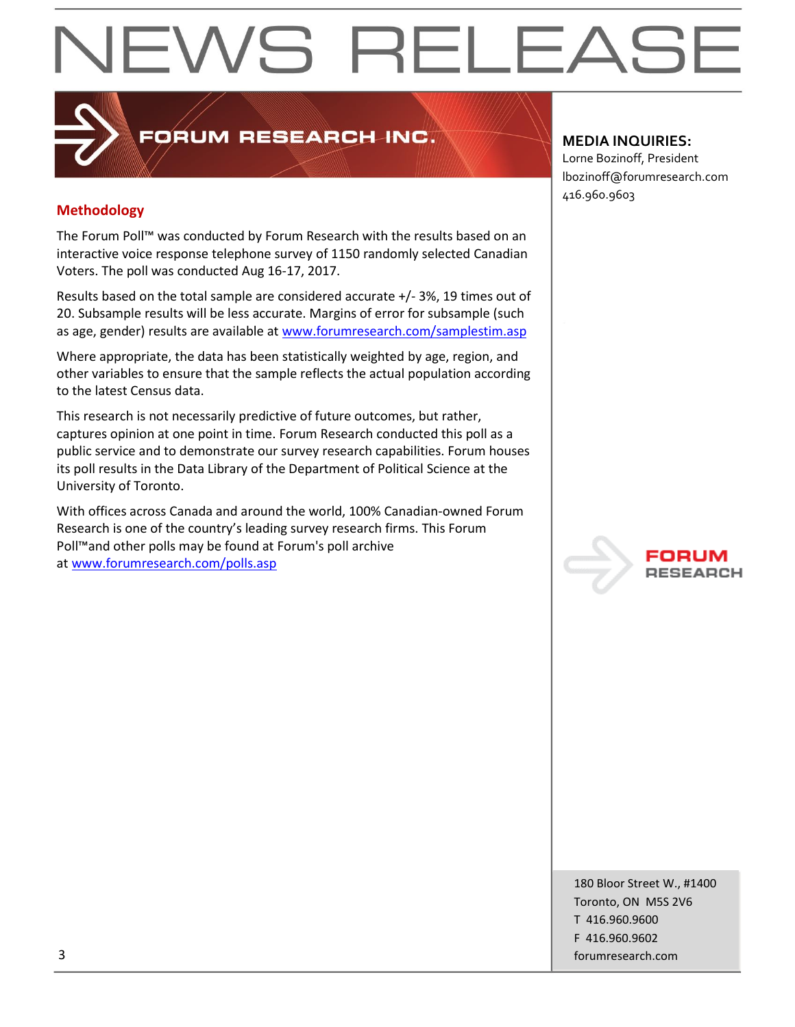## **Methodology**

The Forum Poll™ was conducted by Forum Research with the results based on an interactive voice response telephone survey of 1150 randomly selected Canadian Voters. The poll was conducted Aug 16-17, 2017.

FORUM RESEARCH INC.

Results based on the total sample are considered accurate +/- 3%, 19 times out of 20. Subsample results will be less accurate. Margins of error for subsample (such as age, gender) results are available at [www.forumresearch.com/samplestim.asp](http://www.forumresearch.com/samplestim.asp)

Where appropriate, the data has been statistically weighted by age, region, and other variables to ensure that the sample reflects the actual population according to the latest Census data.

This research is not necessarily predictive of future outcomes, but rather, captures opinion at one point in time. Forum Research conducted this poll as a public service and to demonstrate our survey research capabilities. Forum houses its poll results in the Data Library of the Department of Political Science at the University of Toronto.

With offices across Canada and around the world, 100% Canadian-owned Forum Research is one of the country's leading survey research firms. This Forum Poll™and other polls may be found at Forum's poll archive at [www.forumresearch.com/polls.asp](http://www.forumresearch.com/polls.asp)

## **MEDIA INQUIRIES:**

Lorne Bozinoff, President lbozinoff@forumresearch.com 416.960.9603



180 Bloor Street W., #1400 Toronto, ON M5S 2V6 T 416.960.9600 F 416.960.9602 3 forumresearch.com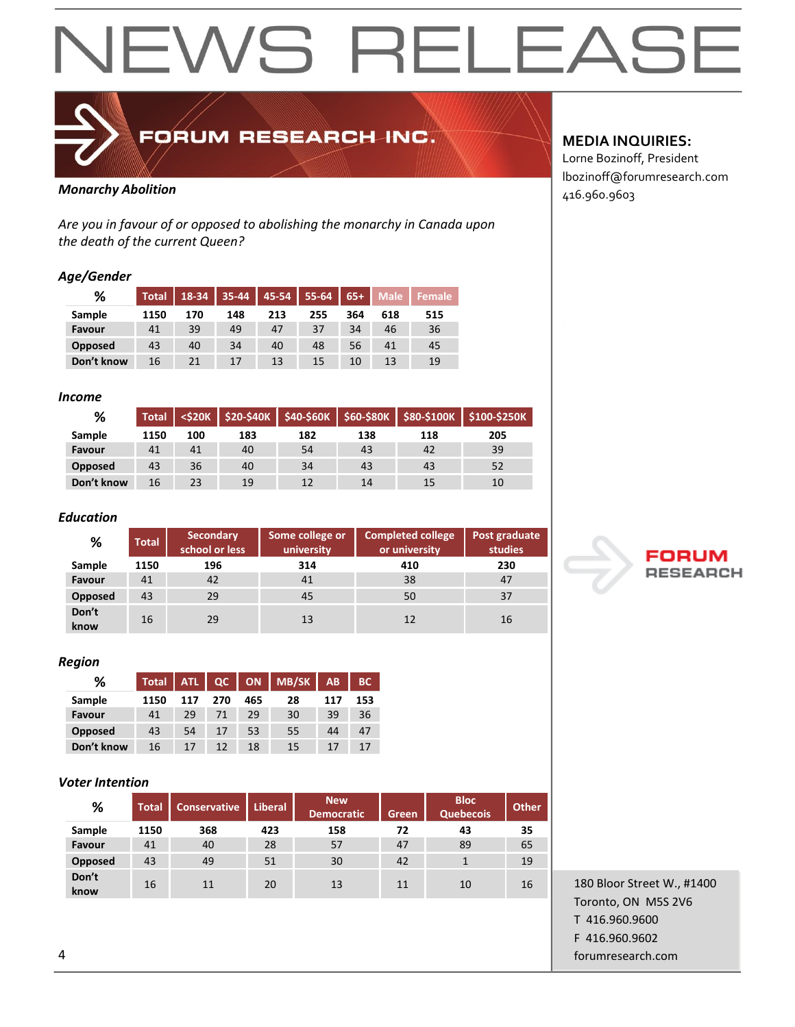## EWS RELEAS  $\blacktriangleleft$



FORUM RESEARCH INC.

## **Monarchy Abolition and the set of the set of the set of the set of the set of the set of the set of the set of the set of the set of the set of the set of the set of the set of the set of the set of the set of the set o**

*Are you in favour of or opposed to abolishing the monarchy in Canada upon the death of the current Queen?*

### *Age/Gender*

| %          | Total | 18-34 | 35-44 | 45-54 | 55-64 | $65+$ | Male <sup>'</sup> | <b>Female</b> |
|------------|-------|-------|-------|-------|-------|-------|-------------------|---------------|
| Sample     | 1150  | 170   | 148   | 213   | 255   | 364   | 618               | 515           |
| Favour     | 41    | 39    | 49    | 47    | 37    | 34    | 46                | 36            |
| Opposed    | 43    | 40    | 34    | 40    | 48    | 56    | 41                | 45            |
| Don't know | 16    | 21    | 17    | 13    | 15    | 10    |                   | 19            |

### *Income*

| %          | Total | $<$ S20K |     |     |     |     | \$20-\$40K \$40-\$60K \$60-\$80K \$80-\$100K \$100-\$250K |
|------------|-------|----------|-----|-----|-----|-----|-----------------------------------------------------------|
| Sample     | 1150  | 100      | 183 | 182 | 138 | 118 | 205                                                       |
| Favour     | 41    | 41       | 40  | 54  | 43  | 42  | 39                                                        |
| Opposed    | 43    | 36       | 40  | 34  | 43  | 43  | 52                                                        |
| Don't know | 16    | 23       | 19  | 12  | 14  | 15  | 10                                                        |

### *Education*

| %             | <b>Total</b> | Secondary<br>school or less | Some college or<br>university | <b>Completed college</b><br>or university | Post graduate<br>studies |
|---------------|--------------|-----------------------------|-------------------------------|-------------------------------------------|--------------------------|
| Sample        | 1150         | 196                         | 314                           | 410                                       | 230                      |
| Favour        | 41           | 42                          | 41                            | 38                                        | 47                       |
| Opposed       | 43           | 29                          | 45                            | 50                                        | 37                       |
| Don't<br>know | 16           | 29                          | 13                            | 12                                        | 16                       |

## *Region*

| ℅              | <b>Total</b> | <b>ATL</b> | QC, | <b>ON</b> | MB/SK | AB  | <b>BC</b> |
|----------------|--------------|------------|-----|-----------|-------|-----|-----------|
| Sample         | 1150         | 117        | 270 | 465       | 28    | 117 | 153       |
| Favour         | 41           | 29         | 71  | 29        | 30    | 39  | 36        |
| <b>Opposed</b> | 43           | 54         | 17  | 53        | 55    | 44  | 47        |
| Don't know     | 16           | 17         | 12  | 18        | 15    | 17  |           |

## *Voter Intention*

| %              | <b>Total</b> | <b>Conservative</b> | <b>Liberal</b> | <b>New</b><br><b>Democratic</b> | Green | <b>Bloc</b><br><b>Quebecois</b> | <b>Other</b> |
|----------------|--------------|---------------------|----------------|---------------------------------|-------|---------------------------------|--------------|
| Sample         | 1150         | 368                 | 423            | 158                             | 72    | 43                              | 35           |
| Favour         | 41           | 40                  | 28             | 57                              | 47    | 89                              | 65           |
| <b>Opposed</b> | 43           | 49                  | 51             | 30                              | 42    |                                 | 19           |
| Don't<br>know  | 16           | 11                  | 20             | 13                              | 11    | 10                              | 16           |

## **MEDIA INQUIRIES:**

Lorne Bozinoff, President lbozinoff@forumresearch.com



180 Bloor Street W., #1400 Toronto, ON M5S 2V6 T 416.960.9600 F 416.960.9602 4 forumresearch.com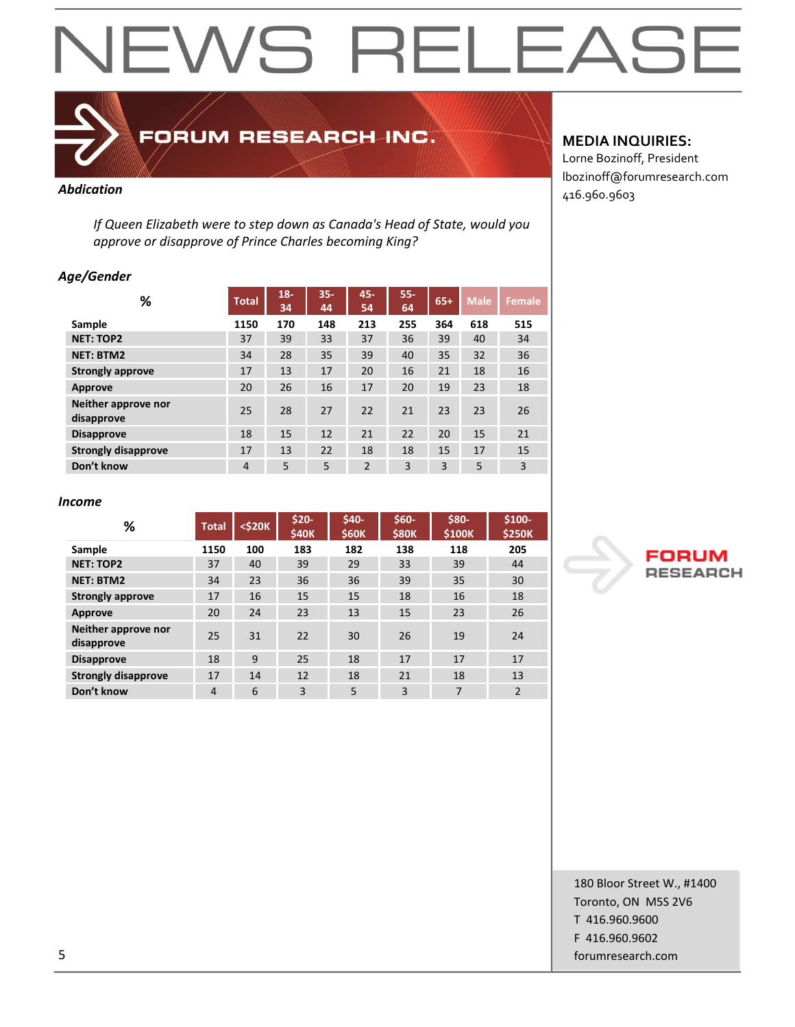

FORUM RESEARCH INC.

*If Queen Elizabeth were to step down as Canada's Head of State, would you approve or disapprove of Prince Charles becoming King?*

### *Age/Gender*

| ℅                                 | <b>Total</b> | $18 -$<br>34 | $35 -$<br>44 | 45-<br>54      | $55 -$<br>64 | $65+$ | <b>Male</b> | Female         |
|-----------------------------------|--------------|--------------|--------------|----------------|--------------|-------|-------------|----------------|
| Sample                            | 1150         | 170          | 148          | 213            | 255          | 364   | 618         | 515            |
| <b>NET: TOP2</b>                  | 37           | 39           | 33           | 37             | 36           | 39    | 40          | 34             |
| <b>NET: BTM2</b>                  | 34           | 28           | 35           | 39             | 40           | 35    | 32          | 36             |
| <b>Strongly approve</b>           | 17           | 13           | 17           | 20             | 16           | 21    | 18          | 16             |
| <b>Approve</b>                    | 20           | 26           | 16           | 17             | 20           | 19    | 23          | 18             |
| Neither approve nor<br>disapprove | 25           | 28           | 27           | 22             | 21           | 23    | 23          | 26             |
| <b>Disapprove</b>                 | 18           | 15           | 12           | 21             | 22           | 20    | 15          | 21             |
| <b>Strongly disapprove</b>        | 17           | 13           | 22           | 18             | 18           | 15    | 17          | 15             |
| Don't know                        | 4            | 5            | 5            | $\overline{2}$ | 3            | 3     | 5           | $\overline{3}$ |

## **MEDIA INQUIRIES:**

Lorne Bozinoff, President lbozinoff@forumresearch.com **Abdication** 416.960.9603

#### *Income*

| %                                 | <b>Total</b>   | <\$20K | $$20-$<br><b>\$40K</b> | \$40-<br><b>\$60K</b> | $$60-$<br><b>\$80K</b> | \$80-<br>\$100K | $$100-$<br><b>\$250K</b> |
|-----------------------------------|----------------|--------|------------------------|-----------------------|------------------------|-----------------|--------------------------|
| Sample                            | 1150           | 100    | 183                    | 182                   | 138                    | 118             | 205                      |
| <b>NET: TOP2</b>                  | 37             | 40     | 39                     | 29                    | 33                     | 39              | 44                       |
| <b>NET: BTM2</b>                  | 34             | 23     | 36                     | 36                    | 39                     | 35              | 30                       |
| <b>Strongly approve</b>           | 17             | 16     | 15                     | 15                    | 18                     | 16              | 18                       |
| <b>Approve</b>                    | 20             | 24     | 23                     | 13                    | 15                     | 23              | 26                       |
| Neither approve nor<br>disapprove | 25             | 31     | 22                     | 30                    | 26                     | 19              | 24                       |
| <b>Disapprove</b>                 | 18             | 9      | 25                     | 18                    | 17                     | 17              | 17                       |
| <b>Strongly disapprove</b>        | 17             | 14     | 12                     | 18                    | 21                     | 18              | 13                       |
| Don't know                        | $\overline{4}$ | 6      | 3                      | 5                     | 3                      | 7               | $\overline{2}$           |



180 Bloor Street W., #1400 Toronto, ON M5S 2V6 T 416.960.9600 F 416.960.9602 5 forumresearch.com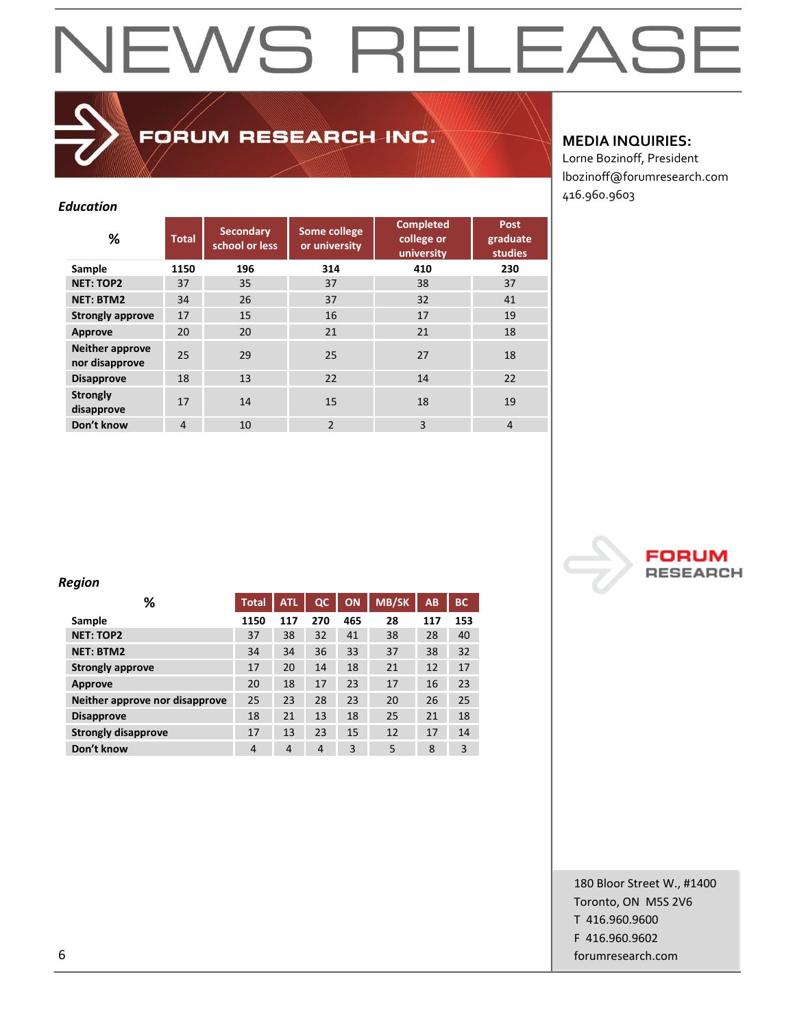## FORUM RESEARCH INC.

### *Education*

| %                                        | <b>Total</b>   | <b>Secondary</b><br>school or less | <b>Completed</b><br>Some college<br>college or<br>or university<br>university |     | <b>Post</b><br>graduate<br>studies |
|------------------------------------------|----------------|------------------------------------|-------------------------------------------------------------------------------|-----|------------------------------------|
| Sample                                   | 1150           | 196                                | 314                                                                           | 410 | 230                                |
| <b>NET: TOP2</b>                         | 37             | 35                                 | 37                                                                            | 38  | 37                                 |
| <b>NET: BTM2</b>                         | 34             | 26                                 | 37                                                                            | 32  | 41                                 |
| <b>Strongly approve</b>                  | 17             | 15                                 | 16                                                                            | 17  | 19                                 |
| Approve                                  | 20             | 20                                 | 21                                                                            | 21  | 18                                 |
| <b>Neither approve</b><br>nor disapprove | 25             | 29                                 | 25                                                                            | 27  | 18                                 |
| <b>Disapprove</b>                        | 18             | 13                                 | 22                                                                            | 14  | 22                                 |
| <b>Strongly</b><br>disapprove            | 17             | 14                                 | 15                                                                            | 18  | 19                                 |
| Don't know                               | $\overline{4}$ | 10                                 | $\overline{2}$                                                                | 3   | $\overline{4}$                     |

## **MEDIA INQUIRIES:**

Lorne Bozinoff, President lbozinoff@forumresearch.com 416.960.9603



## *Region*

| %                              | <b>Total</b>   | <b>ATL</b> | $_{\alpha}$ | ON  | <b>MB/SK</b> | AB  | <b>BC</b> |
|--------------------------------|----------------|------------|-------------|-----|--------------|-----|-----------|
| Sample                         | 1150           | 117        | 270         | 465 | 28           | 117 | 153       |
| <b>NET: TOP2</b>               | 37             | 38         | 32          | 41  | 38           | 28  | 40        |
| <b>NET: BTM2</b>               | 34             | 34         | 36          | 33  | 37           | 38  | 32        |
| <b>Strongly approve</b>        | 17             | 20         | 14          | 18  | 21           | 12  | 17        |
| Approve                        | 20             | 18         | 17          | 23  | 17           | 16  | 23        |
| Neither approve nor disapprove | 25             | 23         | 28          | 23  | 20           | 26  | 25        |
| <b>Disapprove</b>              | 18             | 21         | 13          | 18  | 25           | 21  | 18        |
| <b>Strongly disapprove</b>     | 17             | 13         | 23          | 15  | 12           | 17  | 14        |
| Don't know                     | $\overline{4}$ | 4          | 4           | 3   | 5            | 8   | 3         |

180 Bloor Street W., #1400 Toronto, ON M5S 2V6 T 416.960.9600 F 416.960.9602 6 forumresearch.com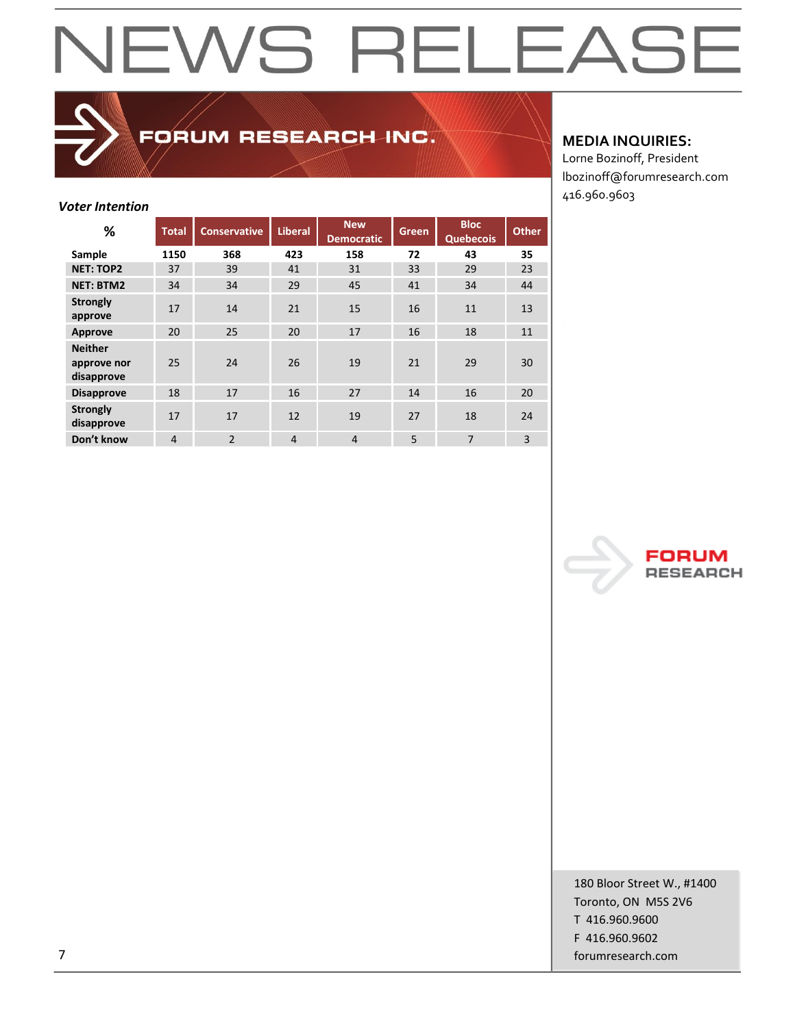## FORUM RESEARCH INC.

## *Voter Intention*

| %                                           | <b>Total</b>   | <b>Conservative</b> | <b>Liberal</b> | <b>New</b><br><b>Democratic</b> | <b>Green</b> | <b>Bloc</b><br><b>Quebecois</b> | <b>Other</b> |
|---------------------------------------------|----------------|---------------------|----------------|---------------------------------|--------------|---------------------------------|--------------|
| Sample                                      | 1150           | 368                 | 423            | 158                             | 72           | 43                              | 35           |
| <b>NET: TOP2</b>                            | 37             | 39                  | 41             | 31                              | 33           | 29                              | 23           |
| <b>NET: BTM2</b>                            | 34             | 34                  | 29             | 45                              | 41           | 34                              | 44           |
| <b>Strongly</b><br>approve                  | 17             | 14                  | 21             | 15                              | 16           | 11                              | 13           |
| <b>Approve</b>                              | 20             | 25                  | 20             | 17                              | 16           | 18                              | 11           |
| <b>Neither</b><br>approve nor<br>disapprove | 25             | 24                  | 26             | 19                              | 21           | 29                              | 30           |
| <b>Disapprove</b>                           | 18             | 17                  | 16             | 27                              | 14           | 16                              | 20           |
| <b>Strongly</b><br>disapprove               | 17             | 17                  | 12             | 19                              | 27           | 18                              | 24           |
| Don't know                                  | $\overline{4}$ | $\overline{2}$      | $\overline{4}$ | 4                               | 5            | $\overline{7}$                  | 3            |

## **MEDIA INQUIRIES:**

Lorne Bozinoff, President lbozinoff@forumresearch.com 416.960.9603



180 Bloor Street W., #1400 Toronto, ON M5S 2V6 T 416.960.9600 F 416.960.9602 7 forumresearch.com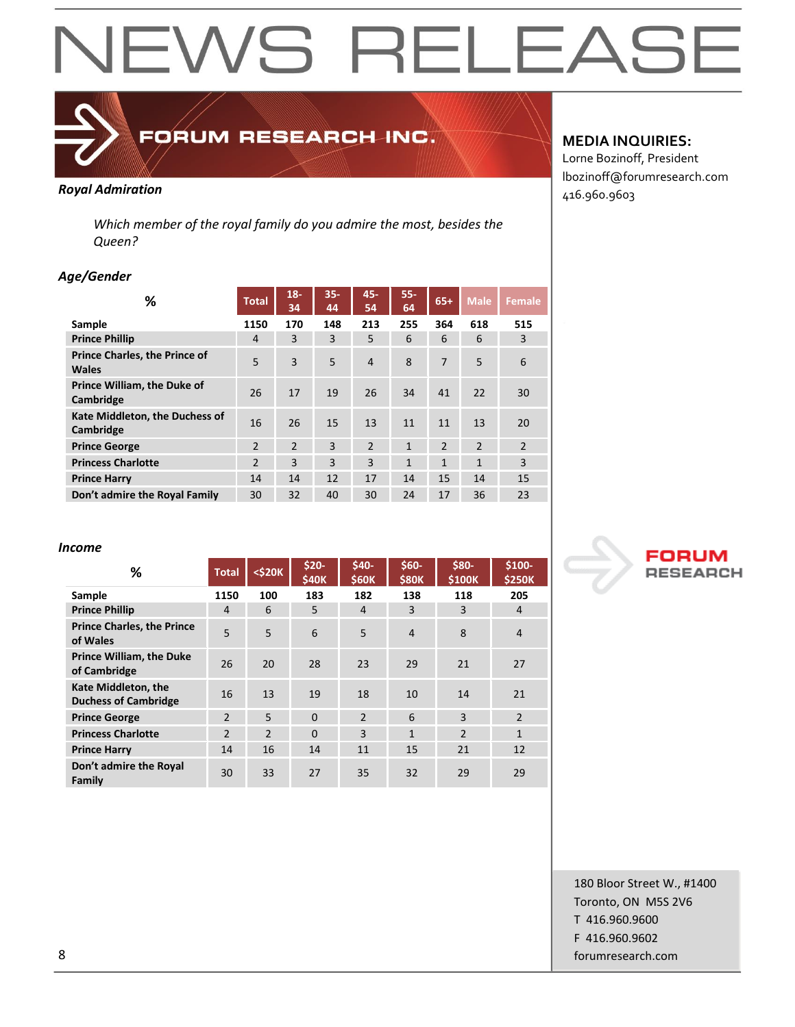

## FORUM RESEARCH INC.

*Which member of the royal family do you admire the most, besides the Queen?*

### *Age/Gender*

| ℅                                             | <b>Total</b>   | $18 -$<br>34   | $35 -$<br>44 | 45-<br>54      | $55 -$<br>64 | $65+$          | <b>Male</b>    | <b>Female</b>  |
|-----------------------------------------------|----------------|----------------|--------------|----------------|--------------|----------------|----------------|----------------|
| Sample                                        | 1150           | 170            | 148          | 213            | 255          | 364            | 618            | 515            |
| <b>Prince Phillip</b>                         | 4              | 3              | 3            | 5              | 6            | 6              | 6              | 3              |
| <b>Prince Charles, the Prince of</b><br>Wales | 5              | 3              | 5            | 4              | 8            | 7              | 5              | 6              |
| Prince William, the Duke of<br>Cambridge      | 26             | 17             | 19           | 26             | 34           | 41             | 22             | 30             |
| Kate Middleton, the Duchess of<br>Cambridge   | 16             | 26             | 15           | 13             | 11           | 11             | 13             | 20             |
| <b>Prince George</b>                          | $\overline{2}$ | $\overline{2}$ | 3            | $\overline{2}$ | $\mathbf{1}$ | $\overline{2}$ | $\overline{2}$ | $\overline{2}$ |
| <b>Princess Charlotte</b>                     | $\overline{2}$ | 3              | 3            | 3              | $\mathbf{1}$ | $\mathbf{1}$   | $\mathbf{1}$   | 3              |
| <b>Prince Harry</b>                           | 14             | 14             | 12           | 17             | 14           | 15             | 14             | 15             |
| Don't admire the Royal Family                 | 30             | 32             | 40           | 30             | 24           | 17             | 36             | 23             |

## **MEDIA INQUIRIES:**

Lorne Bozinoff, President lbozinoff@forumresearch.com **Royal Admiration Royal Admiration Royal Admiration Royal Admiration Royal Admiration Research 2016** 

#### *Income*

| %                                                  | <b>Total</b>   | $<$ \$20 $K$   | \$20-<br>\$40K | $$40-$<br>\$60K | $$60-$<br><b>\$80K</b> | \$80-<br>\$100K | \$100-<br><b>\$250K</b> |
|----------------------------------------------------|----------------|----------------|----------------|-----------------|------------------------|-----------------|-------------------------|
| Sample                                             | 1150           | 100            | 183            | 182             | 138                    | 118             | 205                     |
| <b>Prince Phillip</b>                              | 4              | 6              | 5.             | 4               | 3                      | 3               | 4                       |
| <b>Prince Charles, the Prince</b><br>of Wales      | 5              | 5              | 6              | 5               | $\overline{4}$         | 8               | $\overline{4}$          |
| <b>Prince William, the Duke</b><br>of Cambridge    | 26             | 20             | 28             | 23              | 29                     | 21              | 27                      |
| Kate Middleton, the<br><b>Duchess of Cambridge</b> | 16             | 13             | 19             | 18              | 10                     | 14              | 21                      |
| <b>Prince George</b>                               | $\mathfrak{p}$ | 5              | $\Omega$       | $\mathcal{P}$   | 6                      | 3               | $\mathfrak{p}$          |
| <b>Princess Charlotte</b>                          | $\overline{2}$ | $\overline{2}$ | $\Omega$       | 3               | $\mathbf{1}$           | $\overline{2}$  | $\mathbf{1}$            |
| <b>Prince Harry</b>                                | 14             | 16             | 14             | 11              | 15                     | 21              | 12                      |
| Don't admire the Royal<br>Family                   | 30             | 33             | 27             | 35              | 32                     | 29              | 29                      |



180 Bloor Street W., #1400 Toronto, ON M5S 2V6 T 416.960.9600 F 416.960.9602 8 forumresearch.com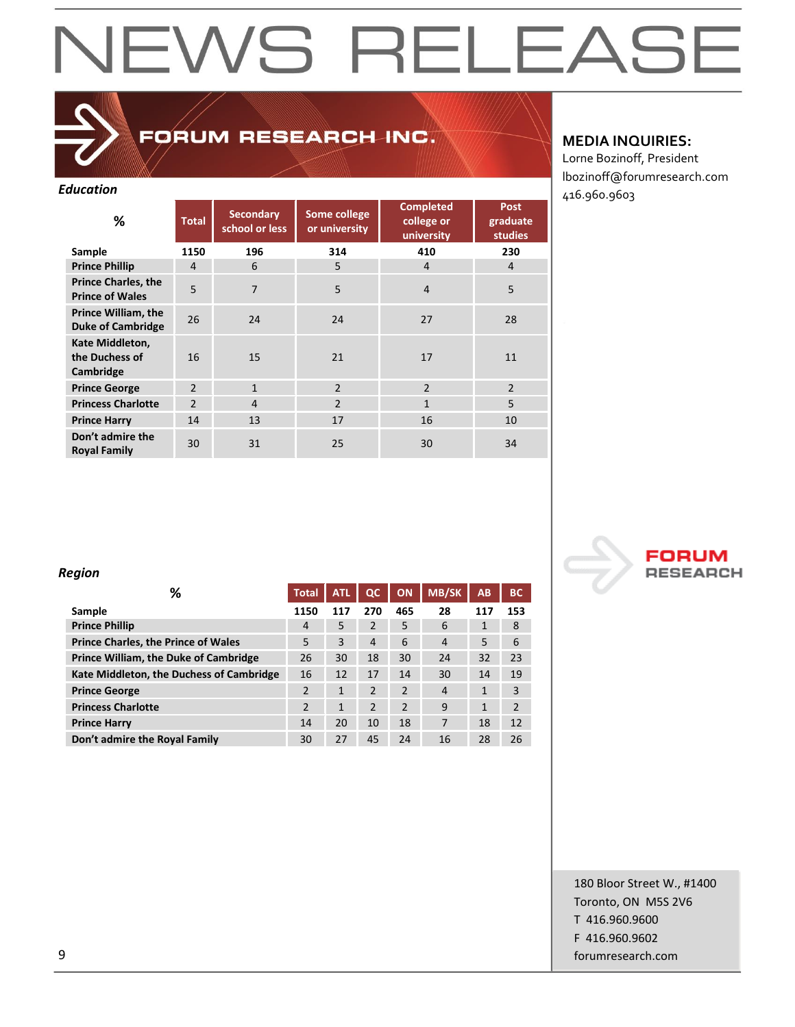## FORUM RESEARCH INC.

| <b>Education</b>                                       |                |                                    |                               |                                              |                                           |              |
|--------------------------------------------------------|----------------|------------------------------------|-------------------------------|----------------------------------------------|-------------------------------------------|--------------|
| ℅                                                      | <b>Total</b>   | <b>Secondary</b><br>school or less | Some college<br>or university | <b>Completed</b><br>college or<br>university | <b>Post</b><br>graduate<br><b>studies</b> | 416.960.9603 |
| Sample                                                 | 1150           | 196                                | 314                           | 410                                          | 230                                       |              |
| <b>Prince Phillip</b>                                  | 4              | 6                                  | 5                             | $\overline{4}$                               | 4                                         |              |
| <b>Prince Charles, the</b><br><b>Prince of Wales</b>   | 5              | $\overline{7}$                     | 5                             | $\overline{4}$                               | 5                                         |              |
| <b>Prince William, the</b><br><b>Duke of Cambridge</b> | 26             | 24                                 | 24                            | 27                                           | 28                                        |              |
| Kate Middleton,<br>the Duchess of<br>Cambridge         | 16             | 15                                 | 21                            | 17                                           | 11                                        |              |
| <b>Prince George</b>                                   | $\overline{2}$ | $\mathbf{1}$                       | $\overline{2}$                | $\overline{2}$                               | $\overline{2}$                            |              |
| <b>Princess Charlotte</b>                              | $\overline{2}$ | $\overline{4}$                     | $\overline{2}$                | $\mathbf{1}$                                 | 5                                         |              |
| <b>Prince Harry</b>                                    | 14             | 13                                 | 17                            | 16                                           | 10                                        |              |
| Don't admire the<br><b>Royal Family</b>                | 30             | 31                                 | 25                            | 30                                           | 34                                        |              |

### **MEDIA INQUIRIES:**

Lorne Bozinoff, President lbozinoff@forumresearch.com

## *Region*

| %                                          | <b>Total</b>   | <b>ATL</b> | $_{\alpha}$    | ON             | <b>MB/SK</b>   | AB           | <b>BC</b>      |
|--------------------------------------------|----------------|------------|----------------|----------------|----------------|--------------|----------------|
| Sample                                     | 1150           | 117        | 270            | 465            | 28             | 117          | 153            |
| <b>Prince Phillip</b>                      | 4              | 5          | $\overline{2}$ | 5              | 6              | 1            | 8              |
| <b>Prince Charles, the Prince of Wales</b> | 5              | 3          | $\overline{4}$ | 6              | $\overline{4}$ | 5            | 6              |
| Prince William, the Duke of Cambridge      | 26             | 30         | 18             | 30             | 24             | 32           | 23             |
| Kate Middleton, the Duchess of Cambridge   | 16             | 12         | 17             | 14             | 30             | 14           | 19             |
| <b>Prince George</b>                       | $\overline{2}$ | 1          | $\overline{2}$ | $\overline{2}$ | $\overline{4}$ | 1            | 3              |
| <b>Princess Charlotte</b>                  | $\overline{2}$ | 1          | $\overline{2}$ | $\overline{2}$ | 9              | $\mathbf{1}$ | $\overline{2}$ |
| <b>Prince Harry</b>                        | 14             | 20         | 10             | 18             | 7              | 18           | 12             |
| Don't admire the Royal Family              | 30             | 27         | 45             | 24             | 16             | 28           | 26             |



180 Bloor Street W., #1400 Toronto, ON M5S 2V6 T 416.960.9600 F 416.960.9602 example and the comparison of the comparison of the comparison of the comparison of the comparison of the comparison of the comparison of the comparison of the comparison of the comparison of the comparison of the comparis